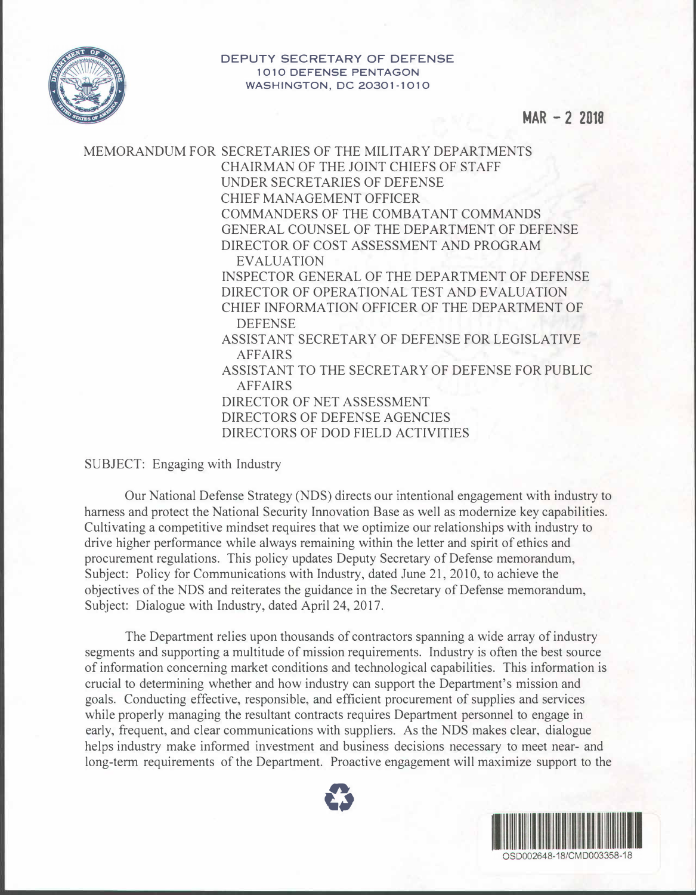

**DEPUTY SECRETARY OF DEFENSE 1010 DEFENSE PENTAGON WASHINGTON, DC 20301-1010** 

**MAR - 2 2018** 

MEMORANDUM FOR SECRETARIES OF THE MILITARY DEPARTMENTS CHAIRMAN OF THE JOINT CHIEFS OF STAFF UNDER SECRETARIES OF DEFENSE CHIEF MANAGEMENT OFFICER COMMANDERS OF THE COMBATANT COMMANDS GENERAL COUNSEL OF THE DEPARTMENT OF DEFENSE DIRECTOR OF COST ASSESSMENT AND PROGRAM **EVALUATION** INSPECTOR GENERAL OF THE DEPARTMENT OF DEFENSE DIRECTOR OF OPERATIONAL TEST AND EVALUATION CHIEF INFORMATION OFFICER OF THE DEPARTMENT OF DEFENSE ASSIST ANT SECRETARY OF DEFENSE FOR LEGISLATIVE AFFAIRS ASSISTANT TO THE SECRETARY OF DEFENSE FOR PUBLIC AFFAIRS DIRECTOR OF NET ASSESSMENT DIRECTORS OF DEFENSE AGENCIES DIRECTORS OF DOD FIELD ACTIVITIES

SUBJECT: Engaging with Industry

Our National Defense Strategy (NDS) directs our intentional engagement with industry to harness and protect the National Security Innovation Base as well as modernize key capabilities. Cultivating a competitive mindset requires that we optimize our relationships with industry to drive higher performance while always remaining within the letter and spirit of ethics and procurement regulations. This policy updates Deputy Secretary of Defense memorandum, Subject: Policy for Communications with Industry, dated June 21, 2010, to achieve the objectives of the NDS and reiterates the guidance in the Secretary of Defense memorandum, Subject: Dialogue with Industry, dated April 24, 2017.

The Department relies upon thousands of contractors spanning a wide array of industry segments and supporting a multitude of mission requirements. Industry is often the best source of information concerning market conditions and technological capabilities. This information is crucial to determining whether and how industry can support the Department's mission and goals. Conducting effective, responsible, and efficient procurement of supplies and services while properly managing the resultant contracts requires Department personnel to engage in early, frequent, and clear communications with suppliers. As the NDS makes clear, dialogue helps industry make informed investment and business decisions necessary to meet near- and long-term requirements of the Department. Proactive engagement will maximize support to the